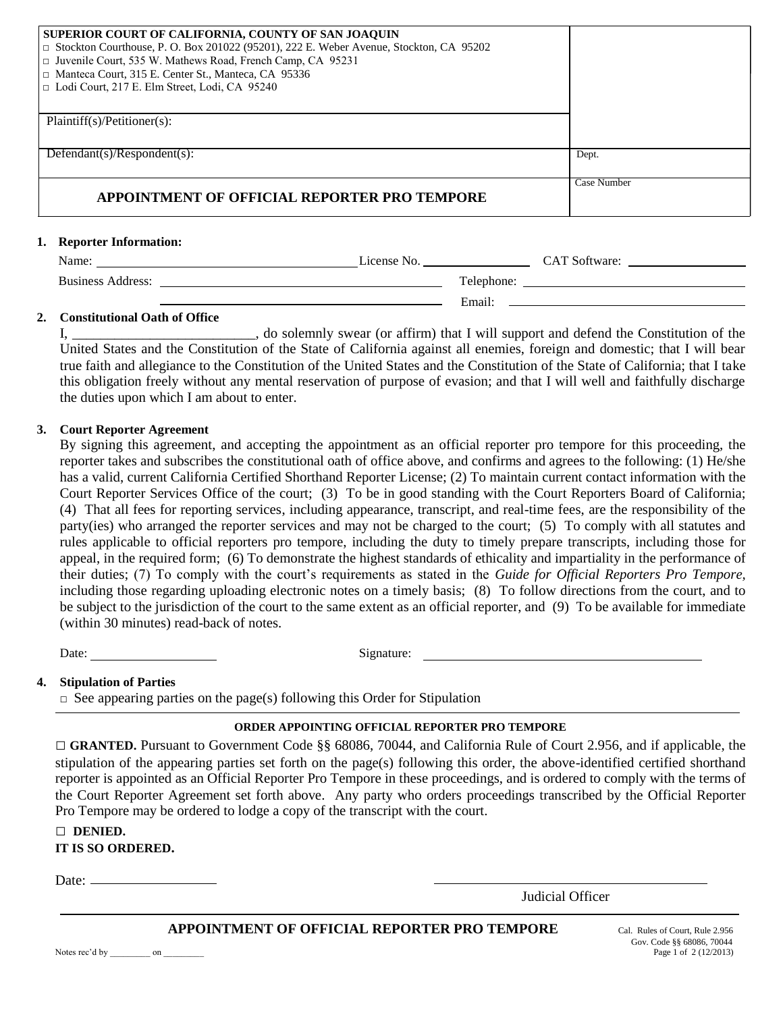| <b>SUPERIOR COURT OF CALIFORNIA, COUNTY OF SAN JOAQUIN</b><br>$\Box$ Stockton Courthouse, P. O. Box 201022 (95201), 222 E. Weber Avenue, Stockton, CA 95202<br>□ Juvenile Court, 535 W. Mathews Road, French Camp, CA 95231<br>□ Manteca Court, 315 E. Center St., Manteca, CA 95336<br>□ Lodi Court, 217 E. Elm Street, Lodi, CA 95240 |             |
|-----------------------------------------------------------------------------------------------------------------------------------------------------------------------------------------------------------------------------------------------------------------------------------------------------------------------------------------|-------------|
| Plaintiff(s)/Petitioner(s):                                                                                                                                                                                                                                                                                                             |             |
| Defendant(s)/Respondent(s):                                                                                                                                                                                                                                                                                                             | Dept.       |
| <b>APPOINTMENT OF OFFICIAL REPORTER PRO TEMPORE</b>                                                                                                                                                                                                                                                                                     | Case Number |

### **1. Reporter Information:**

| Name:                    | License No. |            | <b>CAT Software:</b> |
|--------------------------|-------------|------------|----------------------|
| <b>Business Address:</b> |             | Telephone: |                      |
|                          |             | Email:     |                      |

### **2. Constitutional Oath of Office**

I, and solemnly swear (or affirm) that I will support and defend the Constitution of the United States and the Constitution of the State of California against all enemies, foreign and domestic; that I will bear true faith and allegiance to the Constitution of the United States and the Constitution of the State of California; that I take this obligation freely without any mental reservation of purpose of evasion; and that I will well and faithfully discharge the duties upon which I am about to enter.

### **3. Court Reporter Agreement**

By signing this agreement, and accepting the appointment as an official reporter pro tempore for this proceeding, the reporter takes and subscribes the constitutional oath of office above, and confirms and agrees to the following: (1) He/she has a valid, current California Certified Shorthand Reporter License; (2) To maintain current contact information with the Court Reporter Services Office of the court; (3) To be in good standing with the Court Reporters Board of California; (4) That all fees for reporting services, including appearance, transcript, and real-time fees, are the responsibility of the party(ies) who arranged the reporter services and may not be charged to the court; (5) To comply with all statutes and rules applicable to official reporters pro tempore, including the duty to timely prepare transcripts, including those for appeal, in the required form; (6) To demonstrate the highest standards of ethicality and impartiality in the performance of their duties; (7) To comply with the court's requirements as stated in the *Guide for Official Reporters Pro Tempore,*  including those regarding uploading electronic notes on a timely basis; (8) To follow directions from the court, and to be subject to the jurisdiction of the court to the same extent as an official reporter, and (9) To be available for immediate (within 30 minutes) read-back of notes.

Date: Signature: Signature:

### **4. Stipulation of Parties**

 $\Box$  See appearing parties on the page(s) following this Order for Stipulation

# **ORDER APPOINTING OFFICIAL REPORTER PRO TEMPORE**

□ **GRANTED.** Pursuant to Government Code §§ 68086, 70044, and California Rule of Court 2.956, and if applicable, the stipulation of the appearing parties set forth on the page(s) following this order, the above-identified certified shorthand reporter is appointed as an Official Reporter Pro Tempore in these proceedings, and is ordered to comply with the terms of the Court Reporter Agreement set forth above. Any party who orders proceedings transcribed by the Official Reporter Pro Tempore may be ordered to lodge a copy of the transcript with the court.

| <b>DENIED.</b>                                          |
|---------------------------------------------------------|
| $\sim$ $\sim$ $\sim$ $\sim$ $\sim$ $\sim$ $\sim$ $\sim$ |

### **IT IS SO ORDERED.**

Date:  $\_\_\_\_\_\_\_\_\_\_\_\_\_\_\_\_\_\_\_\_\_\_$ 

Judicial Officer

## **APPOINTMENT OF OFFICIAL REPORTER PRO TEMPORE** Cal. Rules of Court, Rule 2.956

1